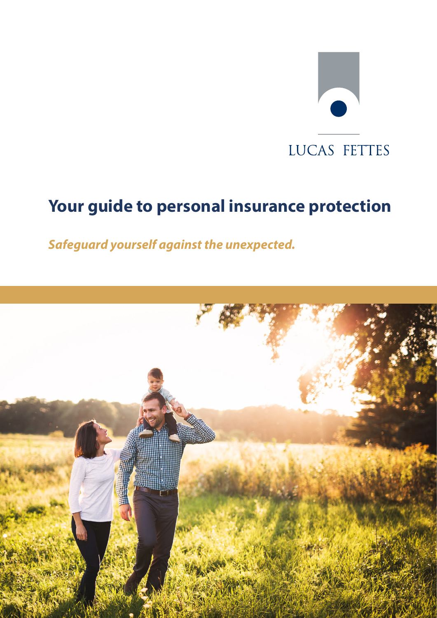# $\bullet$ LUCAS FETTES

# **Your guide to personal insurance protection**

*Safeguard yourself against the unexpected.*

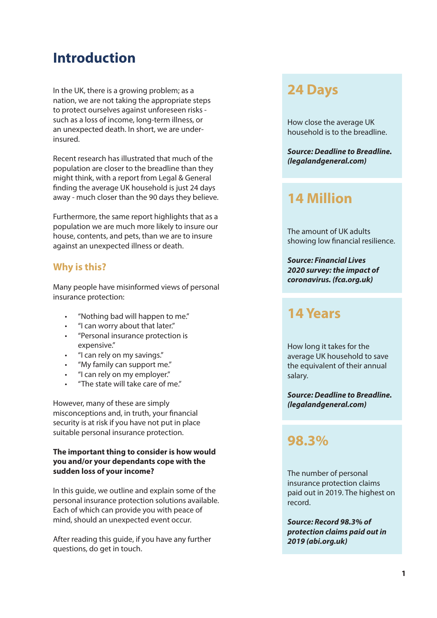# **Introduction**

In the UK, there is a growing problem; as a nation, we are not taking the appropriate steps to protect ourselves against unforeseen risks such as a loss of income, long-term illness, or an unexpected death. In short, we are underinsured.

Recent research has illustrated that much of the population are closer to the breadline than they might think, with a report from Legal & General finding the average UK household is just 24 days away - much closer than the 90 days they believe.

Furthermore, the same report highlights that as a population we are much more likely to insure our house, contents, and pets, than we are to insure against an unexpected illness or death.

## **Why is this?**

Many people have misinformed views of personal insurance protection:

- "Nothing bad will happen to me."
- "I can worry about that later."
- "Personal insurance protection is expensive."
- "I can rely on my savings."
- "My family can support me."
- "I can rely on my employer."
- "The state will take care of me."

However, many of these are simply misconceptions and, in truth, your financial security is at risk if you have not put in place suitable personal insurance protection.

#### **The important thing to consider is how would you and/or your dependants cope with the sudden loss of your income?**

In this guide, we outline and explain some of the personal insurance protection solutions available. Each of which can provide you with peace of mind, should an unexpected event occur.

After reading this guide, if you have any further questions, do get in touch.

## **24 Days**

How close the average UK household is to the breadline.

*Source: Deadline to Breadline. (legalandgeneral.com)*

## **14 Million**

The amount of UK adults showing low financial resilience.

*Source: Financial Lives 2020 survey: the impact of coronavirus. (fca.org.uk)*

# **14 Years**

How long it takes for the average UK household to save the equivalent of their annual salary.

*Source: Deadline to Breadline. (legalandgeneral.com)*

## **98.3%**

The number of personal insurance protection claims paid out in 2019. The highest on record.

*Source: Record 98.3% of protection claims paid out in 2019 (abi.org.uk)*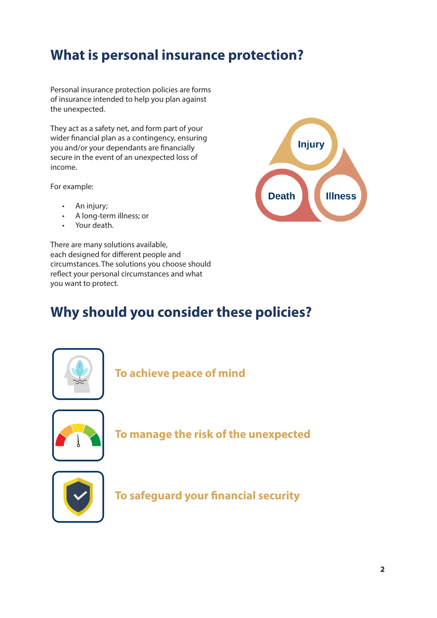# **What is personal insurance protection?**

Personal insurance protection policies are forms of insurance intended to help you plan against the unexpected.

They act as a safety net, and form part of your wider financial plan as a contingency, ensuring you and/or your dependants are financially secure in the event of an unexpected loss of income.

For example:

- An injury;
- A long-term illness; or
- Your death.

There are many solutions available, each designed for different people and circumstances. The solutions you choose should reflect your personal circumstances and what you want to protect.

# **Why should you consider these policies?**



**To achieve peace of mind**



**To manage the risk of the unexpected**



**To safeguard your financial security**

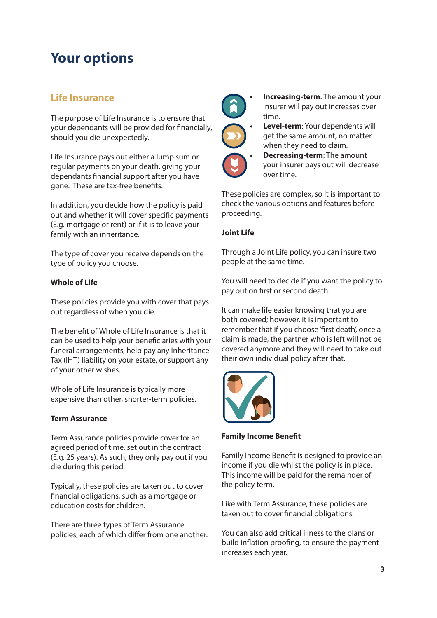# **Your options**

## **Life Insurance**

The purpose of Life Insurance is to ensure that your dependants will be provided for financially, should you die unexpectedly.

Life Insurance pays out either a lump sum or regular payments on your death, giving your dependants financial support after you have gone. These are tax-free benefits.

In addition, you decide how the policy is paid out and whether it will cover specific payments (E.g. mortgage or rent) or if it is to leave your family with an inheritance.

The type of cover you receive depends on the type of policy you choose.

#### **Whole of Life**

These policies provide you with cover that pays out regardless of when you die.

The benefit of Whole of Life Insurance is that it can be used to help your beneficiaries with your funeral arrangements, help pay any Inheritance Tax (IHT) liability on your estate, or support any of your other wishes.

Whole of Life Insurance is typically more expensive than other, shorter-term policies.

#### **Term Assurance**

Term Assurance policies provide cover for an agreed period of time, set out in the contract (E.g. 25 years). As such, they only pay out if you die during this period.

Typically, these policies are taken out to cover financial obligations, such as a mortgage or education costs for children.

There are three types of Term Assurance policies, each of which differ from one another.



**• Increasing-term**: The amount your insurer will pay out increases over time.



**• Decreasing-term**: The amount your insurer pays out will decrease over time.

These policies are complex, so it is important to check the various options and features before proceeding.

#### **Joint Life**

Through a Joint Life policy, you can insure two people at the same time.

You will need to decide if you want the policy to pay out on first or second death.

It can make life easier knowing that you are both covered; however, it is important to remember that if you choose 'first death', once a claim is made, the partner who is left will not be covered anymore and they will need to take out their own individual policy after that.



#### **Family Income Benefit**

Family Income Benefit is designed to provide an income if you die whilst the policy is in place. This income will be paid for the remainder of the policy term.

Like with Term Assurance, these policies are taken out to cover financial obligations.

You can also add critical illness to the plans or build inflation proofing, to ensure the payment increases each year.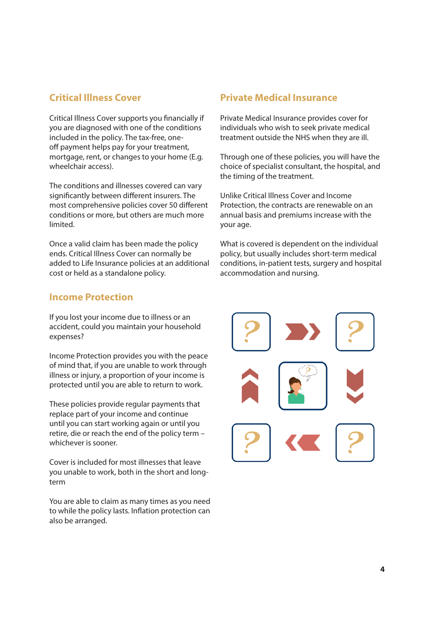## **Critical Illness Cover**

Critical Illness Cover supports you financially if you are diagnosed with one of the conditions included in the policy. The tax-free, oneoff payment helps pay for your treatment, mortgage, rent, or changes to your home (E.g. wheelchair access).

The conditions and illnesses covered can vary significantly between different insurers. The most comprehensive policies cover 50 different conditions or more, but others are much more limited.

Once a valid claim has been made the policy ends. Critical Illness Cover can normally be added to Life Insurance policies at an additional cost or held as a standalone policy.

## **Private Medical Insurance**

Private Medical Insurance provides cover for individuals who wish to seek private medical treatment outside the NHS when they are ill.

Through one of these policies, you will have the choice of specialist consultant, the hospital, and the timing of the treatment.

Unlike Critical Illness Cover and Income Protection, the contracts are renewable on an annual basis and premiums increase with the your age.

What is covered is dependent on the individual policy, but usually includes short-term medical conditions, in-patient tests, surgery and hospital accommodation and nursing.

## **Income Protection**

If you lost your income due to illness or an accident, could you maintain your household expenses?

Income Protection provides you with the peace of mind that, if you are unable to work through illness or injury, a proportion of your income is protected until you are able to return to work.

These policies provide regular payments that replace part of your income and continue until you can start working again or until you retire, die or reach the end of the policy term – whichever is sooner.

Cover is included for most illnesses that leave you unable to work, both in the short and longterm

You are able to claim as many times as you need to while the policy lasts. Inflation protection can also be arranged.

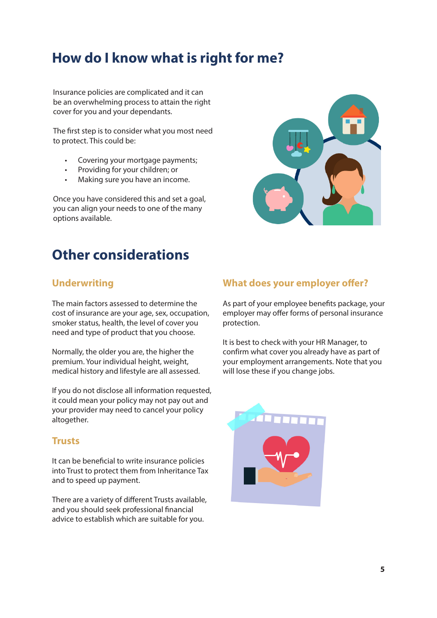# **How do I know what is right for me?**

Insurance policies are complicated and it can be an overwhelming process to attain the right cover for you and your dependants.

The first step is to consider what you most need to protect. This could be:

- Covering your mortgage payments;
- Providing for your children; or
- Making sure you have an income.

Once you have considered this and set a goal, you can align your needs to one of the many options available.

# **Other considerations**

## **Underwriting**

The main factors assessed to determine the cost of insurance are your age, sex, occupation, smoker status, health, the level of cover you need and type of product that you choose.

Normally, the older you are, the higher the premium. Your individual height, weight, medical history and lifestyle are all assessed.

If you do not disclose all information requested, it could mean your policy may not pay out and your provider may need to cancel your policy altogether.

### **Trusts**

It can be beneficial to write insurance policies into Trust to protect them from Inheritance Tax and to speed up payment.

There are a variety of different Trusts available, and you should seek professional financial advice to establish which are suitable for you.

## **What does your employer offer?**

As part of your employee benefits package, your employer may offer forms of personal insurance protection.

It is best to check with your HR Manager, to confirm what cover you already have as part of your employment arrangements. Note that you will lose these if you change jobs.

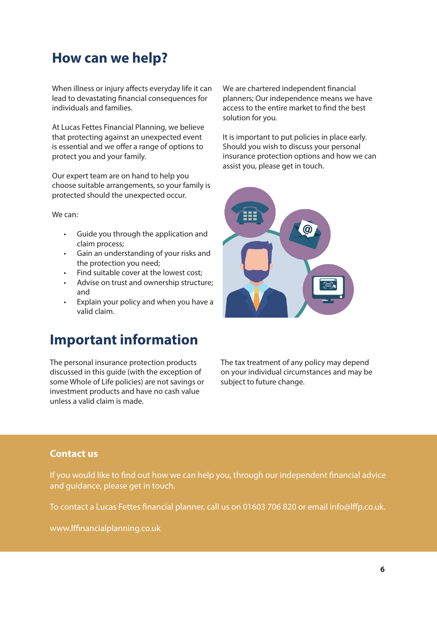# **How can we help?**

When illness or injury affects everyday life it can lead to devastating financial consequences for individuals and families.

At Lucas Fettes Financial Planning, we believe that protecting against an unexpected event is essential and we offer a range of options to protect you and your family.

Our expert team are on hand to help you choose suitable arrangements, so your family is protected should the unexpected occur.

We can:

- Guide you through the application and claim process;
- Gain an understanding of your risks and the protection you need;
- Find suitable cover at the lowest cost;
- Advise on trust and ownership structure; and
- Explain your policy and when you have a valid claim.

## **Important information**

The personal insurance protection products discussed in this guide (with the exception of some Whole of Life policies) are not savings or investment products and have no cash value unless a valid claim is made.

We are chartered independent financial planners; Our independence means we have access to the entire market to find the best solution for you.

It is important to put policies in place early. Should you wish to discuss your personal insurance protection options and how we can assist you, please get in touch.



The tax treatment of any policy may depend on your individual circumstances and may be subject to future change.

## **Contact us**

If you would like to find out how we can help you, through our independent financial advice and guidance, please get in touch.

To contact a Lucas Fettes financial planner, call us on 01603 706 820 or email info@lffp.co.uk.

www.lffinancialplanning.co.uk